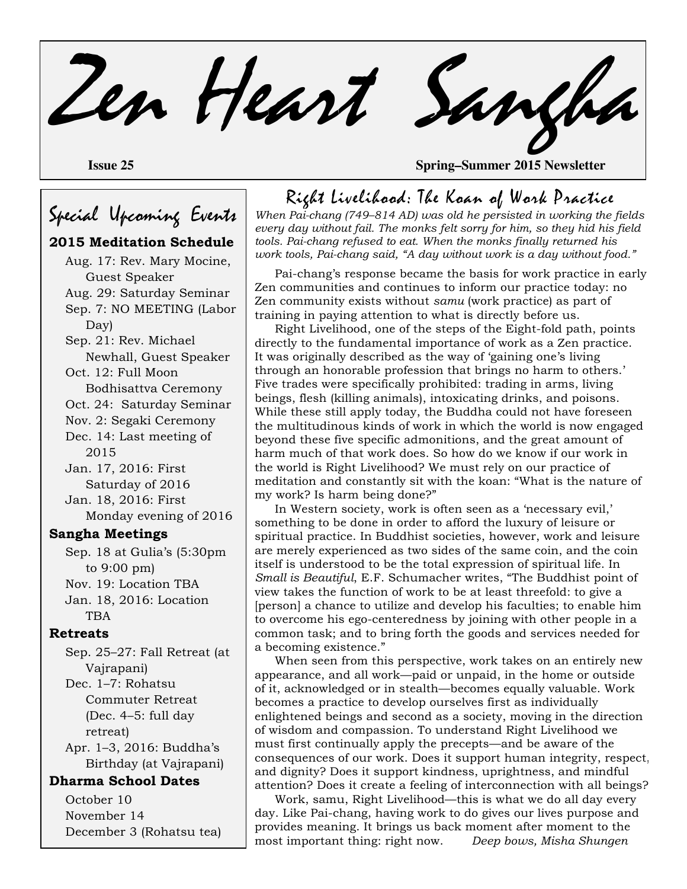Zen Heart Sangha

**Issue 25 Spring–Summer 2015 Newsletter**

# Special Upcoming Events

### **2015 Meditation Schedule**

Aug. 17: Rev. Mary Mocine, Guest Speaker Aug. 29: Saturday Seminar Sep. 7: NO MEETING (Labor Day) Sep. 21: Rev. Michael Newhall, Guest Speaker Oct. 12: Full Moon Bodhisattva Ceremony Oct. 24: Saturday Seminar Nov. 2: Segaki Ceremony Dec. 14: Last meeting of 2015 Jan. 17, 2016: First Saturday of 2016 Jan. 18, 2016: First Monday evening of 2016 **Sangha Meetings**

Sep. 18 at Gulia's (5:30pm to 9:00 pm) Nov. 19: Location TBA Jan. 18, 2016: Location TBA

#### **Retreats**

Sep. 25–27: Fall Retreat (at Vajrapani) Dec. 1–7: Rohatsu Commuter Retreat

(Dec. 4–5: full day retreat)

Apr. 1–3, 2016: Buddha's Birthday (at Vajrapani)

#### **Dharma School Dates**

October 10 November 14 December 3 (Rohatsu tea) Right Livelihood: The Koan of Work Practice

*When Pai-chang (749–814 AD) was old he persisted in working the fields every day without fail. The monks felt sorry for him, so they hid his field tools. Pai-chang refused to eat. When the monks finally returned his work tools, Pai-chang said, "A day without work is a day without food."* 

Pai-chang's response became the basis for work practice in early Zen communities and continues to inform our practice today: no Zen community exists without *samu* (work practice) as part of training in paying attention to what is directly before us.

Right Livelihood, one of the steps of the Eight-fold path, points directly to the fundamental importance of work as a Zen practice. It was originally described as the way of 'gaining one's living through an honorable profession that brings no harm to others.' Five trades were specifically prohibited: trading in arms, living beings, flesh (killing animals), intoxicating drinks, and poisons. While these still apply today, the Buddha could not have foreseen the multitudinous kinds of work in which the world is now engaged beyond these five specific admonitions, and the great amount of harm much of that work does. So how do we know if our work in the world is Right Livelihood? We must rely on our practice of meditation and constantly sit with the koan: "What is the nature of my work? Is harm being done?"

In Western society, work is often seen as a 'necessary evil,' something to be done in order to afford the luxury of leisure or spiritual practice. In Buddhist societies, however, work and leisure are merely experienced as two sides of the same coin, and the coin itself is understood to be the total expression of spiritual life. In *Small is Beautiful*, E.F. Schumacher writes, "The Buddhist point of view takes the function of work to be at least threefold: to give a [person] a chance to utilize and develop his faculties; to enable him to overcome his ego-centeredness by joining with other people in a common task; and to bring forth the goods and services needed for a becoming existence."

When seen from this perspective, work takes on an entirely new appearance, and all work—paid or unpaid, in the home or outside of it, acknowledged or in stealth—becomes equally valuable. Work becomes a practice to develop ourselves first as individually enlightened beings and second as a society, moving in the direction of wisdom and compassion. To understand Right Livelihood we must first continually apply the precepts—and be aware of the consequences of our work. Does it support human integrity, respect, and dignity? Does it support kindness, uprightness, and mindful attention? Does it create a feeling of interconnection with all beings?

Work, samu, Right Livelihood—this is what we do all day every day. Like Pai-chang, having work to do gives our lives purpose and provides meaning. It brings us back moment after moment to the most important thing: right now. *Deep bows, Misha Shungen*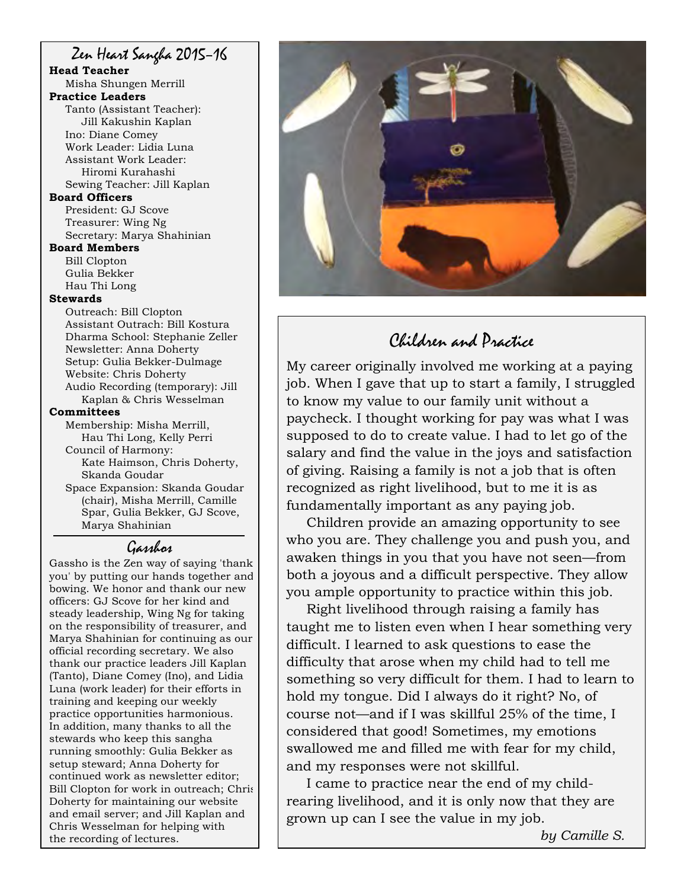### Zen Heart Sangha 2015–16

**Head Teacher** Misha Shungen Merrill

#### **Practice Leaders**

Tanto (Assistant Teacher): Jill Kakushin Kaplan Ino: Diane Comey Work Leader: Lidia Luna Assistant Work Leader: Hiromi Kurahashi Sewing Teacher: Jill Kaplan

**Board Officers** 

President: GJ Scove Treasurer: Wing Ng Secretary: Marya Shahinian

#### **Board Members**

Bill Clopton Gulia Bekker Hau Thi Long

#### **Stewards**

Outreach: Bill Clopton Assistant Outrach: Bill Kostura Dharma School: Stephanie Zeller Newsletter: Anna Doherty Setup: Gulia Bekker-Dulmage Website: Chris Doherty Audio Recording (temporary): Jill Kaplan & Chris Wesselman **Committees** Membership: Misha Merrill,

Hau Thi Long, Kelly Perri Council of Harmony: Kate Haimson, Chris Doherty, Skanda Goudar Space Expansion: Skanda Goudar

(chair), Misha Merrill, Camille Spar, Gulia Bekker, GJ Scove, Marya Shahinian

## Gasshos

Gassho is the Zen way of saying 'thank you' by putting our hands together and bowing. We honor and thank our new officers: GJ Scove for her kind and steady leadership, Wing Ng for taking on the responsibility of treasurer, and Marya Shahinian for continuing as our official recording secretary. We also thank our practice leaders Jill Kaplan (Tanto), Diane Comey (Ino), and Lidia Luna (work leader) for their efforts in training and keeping our weekly practice opportunities harmonious. In addition, many thanks to all the stewards who keep this sangha running smoothly: Gulia Bekker as setup steward; Anna Doherty for continued work as newsletter editor; Bill Clopton for work in outreach; Chris Doherty for maintaining our website and email server; and Jill Kaplan and Chris Wesselman for helping with the recording of lectures.



# Children and Practice

My career originally involved me working at a paying job. When I gave that up to start a family, I struggled to know my value to our family unit without a paycheck. I thought working for pay was what I was supposed to do to create value. I had to let go of the salary and find the value in the joys and satisfaction of giving. Raising a family is not a job that is often recognized as right livelihood, but to me it is as fundamentally important as any paying job.

Children provide an amazing opportunity to see who you are. They challenge you and push you, and awaken things in you that you have not seen—from both a joyous and a difficult perspective. They allow you ample opportunity to practice within this job.

Right livelihood through raising a family has taught me to listen even when I hear something very difficult. I learned to ask questions to ease the difficulty that arose when my child had to tell me something so very difficult for them. I had to learn to hold my tongue. Did I always do it right? No, of course not—and if I was skillful 25% of the time, I considered that good! Sometimes, my emotions swallowed me and filled me with fear for my child, and my responses were not skillful.

I came to practice near the end of my childrearing livelihood, and it is only now that they are grown up can I see the value in my job.

*by Camille S.*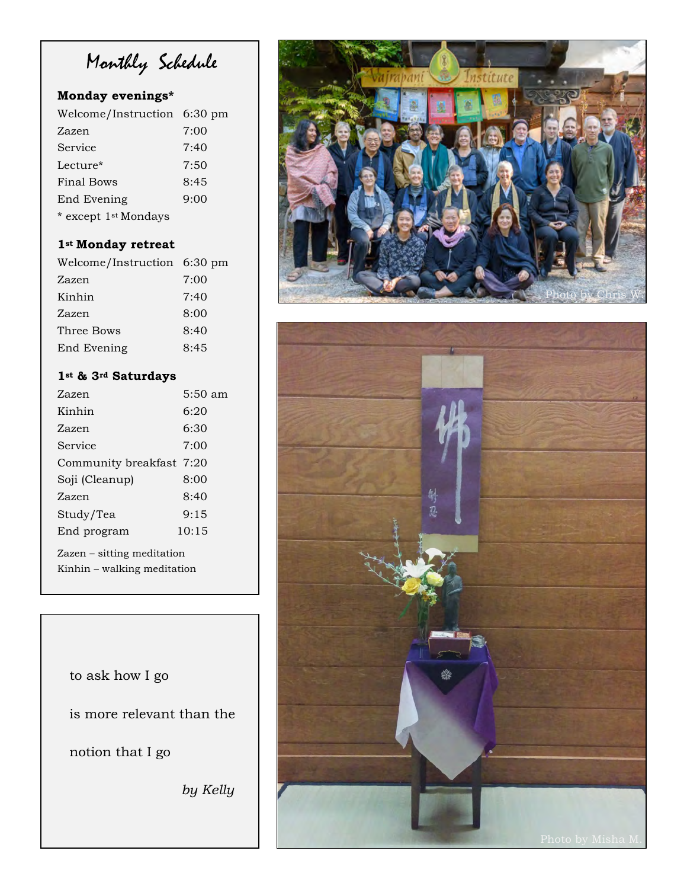Monthly Schedule

### **Monday evenings\***

| Welcome/Instruction 6:30 pm |      |
|-----------------------------|------|
| Zazen                       | 7:00 |
| Service                     | 7:40 |
| Lecture*                    | 7:50 |
| Final Bows                  | 8:45 |
| End Evening                 | 9:00 |
| * except 1st Mondays        |      |

## **1st Monday retreat**

| Welcome/Instruction 6:30 pm |      |
|-----------------------------|------|
| Zazen                       | 7:00 |
| Kinhin                      | 7:40 |
| Zazen                       | 8:00 |
| Three Bows                  | 8:40 |
| End Evening                 | 8:45 |

### **1st & 3rd Saturdays**

| Zazen                                                     | $5:50 \text{ am}$ |  |
|-----------------------------------------------------------|-------------------|--|
| Kinhin                                                    | 6:20              |  |
| Zazen                                                     | 6:30              |  |
| Service                                                   | 7:00              |  |
| Community breakfast 7:20                                  |                   |  |
| Soji (Cleanup)                                            | 8:00              |  |
| Zazen                                                     | 8:40              |  |
| Study/Tea                                                 | 9:15              |  |
| End program                                               | 10:15             |  |
| Zazen – sitting meditation<br>Kinhin – walking meditation |                   |  |

to ask how I go is more relevant than the notion that I go *by Kelly* 



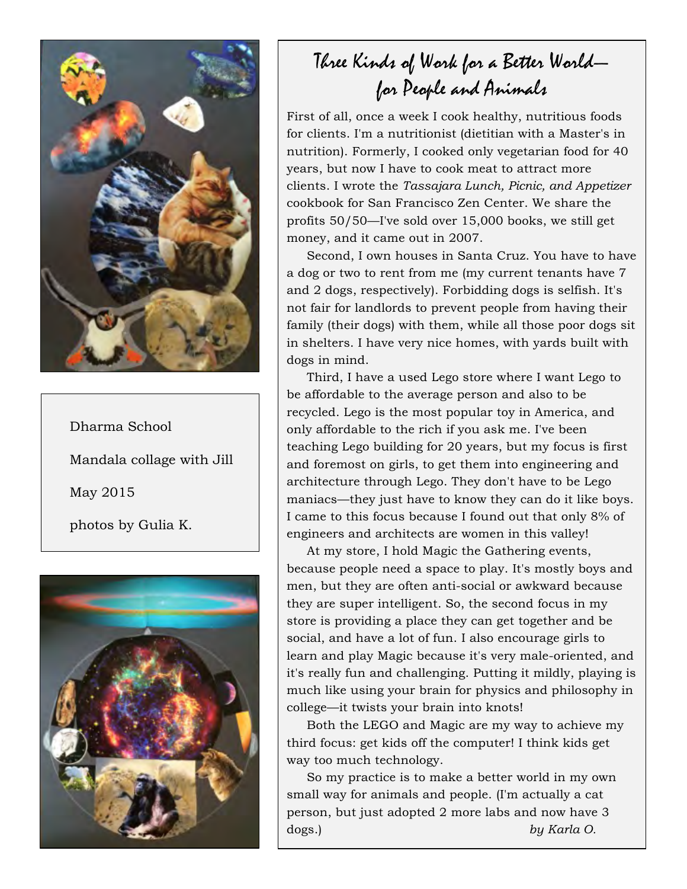

Dharma School Mandala collage with Jill May 2015 photos by Gulia K.



# Three Kinds of Work for a Better World for People and Animals

First of all, once a week I cook healthy, nutritious foods for clients. I'm a nutritionist (dietitian with a Master's in nutrition). Formerly, I cooked only vegetarian food for 40 years, but now I have to cook meat to attract more clients. I wrote the *Tassajara Lunch, Picnic, and Appetizer*  cookbook for San Francisco Zen Center. We share the profits 50/50—I've sold over 15,000 books, we still get money, and it came out in 2007.

Second, I own houses in Santa Cruz. You have to have a dog or two to rent from me (my current tenants have 7 and 2 dogs, respectively). Forbidding dogs is selfish. It's not fair for landlords to prevent people from having their family (their dogs) with them, while all those poor dogs sit in shelters. I have very nice homes, with yards built with dogs in mind.

Third, I have a used Lego store where I want Lego to be affordable to the average person and also to be recycled. Lego is the most popular toy in America, and only affordable to the rich if you ask me. I've been teaching Lego building for 20 years, but my focus is first and foremost on girls, to get them into engineering and architecture through Lego. They don't have to be Lego maniacs—they just have to know they can do it like boys. I came to this focus because I found out that only 8% of engineers and architects are women in this valley!

At my store, I hold Magic the Gathering events, because people need a space to play. It's mostly boys and men, but they are often anti-social or awkward because they are super intelligent. So, the second focus in my store is providing a place they can get together and be social, and have a lot of fun. I also encourage girls to learn and play Magic because it's very male-oriented, and it's really fun and challenging. Putting it mildly, playing is much like using your brain for physics and philosophy in college—it twists your brain into knots!

Both the LEGO and Magic are my way to achieve my third focus: get kids off the computer! I think kids get way too much technology.

So my practice is to make a better world in my own small way for animals and people. (I'm actually a cat person, but just adopted 2 more labs and now have 3 dogs.) *by Karla O.*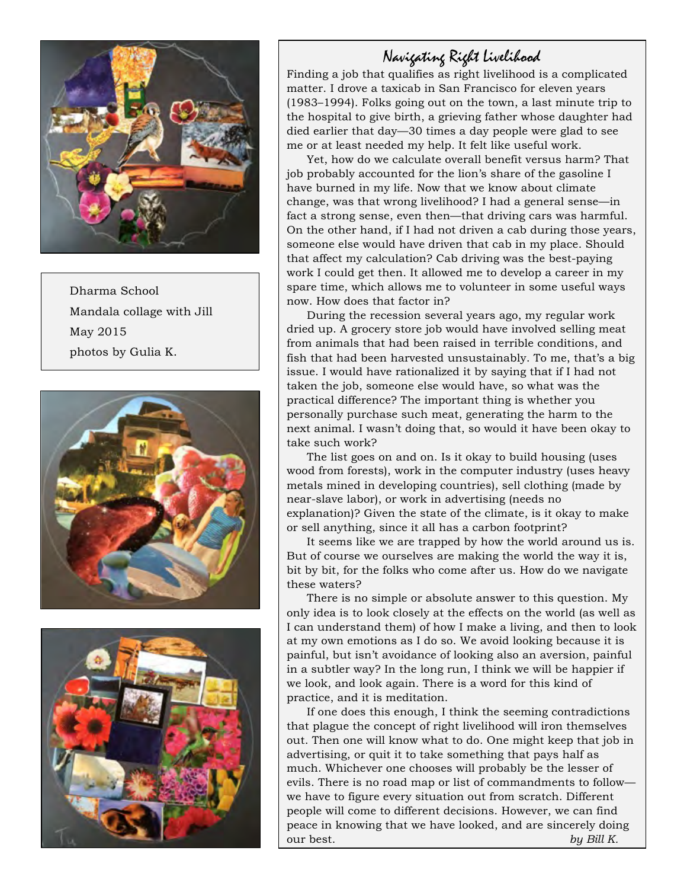

Dharma School Mandala collage with Jill May 2015 photos by Gulia K.





## Navigating Right Livelihood

Finding a job that qualifies as right livelihood is a complicated matter. I drove a taxicab in San Francisco for eleven years (1983–1994). Folks going out on the town, a last minute trip to the hospital to give birth, a grieving father whose daughter had died earlier that day—30 times a day people were glad to see me or at least needed my help. It felt like useful work.

Yet, how do we calculate overall benefit versus harm? That job probably accounted for the lion's share of the gasoline I have burned in my life. Now that we know about climate change, was that wrong livelihood? I had a general sense—in fact a strong sense, even then—that driving cars was harmful. On the other hand, if I had not driven a cab during those years, someone else would have driven that cab in my place. Should that affect my calculation? Cab driving was the best-paying work I could get then. It allowed me to develop a career in my spare time, which allows me to volunteer in some useful ways now. How does that factor in?

During the recession several years ago, my regular work dried up. A grocery store job would have involved selling meat from animals that had been raised in terrible conditions, and fish that had been harvested unsustainably. To me, that's a big issue. I would have rationalized it by saying that if I had not taken the job, someone else would have, so what was the practical difference? The important thing is whether you personally purchase such meat, generating the harm to the next animal. I wasn't doing that, so would it have been okay to take such work?

The list goes on and on. Is it okay to build housing (uses wood from forests), work in the computer industry (uses heavy metals mined in developing countries), sell clothing (made by near-slave labor), or work in advertising (needs no explanation)? Given the state of the climate, is it okay to make or sell anything, since it all has a carbon footprint?

It seems like we are trapped by how the world around us is. But of course we ourselves are making the world the way it is, bit by bit, for the folks who come after us. How do we navigate these waters?

There is no simple or absolute answer to this question. My only idea is to look closely at the effects on the world (as well as I can understand them) of how I make a living, and then to look at my own emotions as I do so. We avoid looking because it is painful, but isn't avoidance of looking also an aversion, painful in a subtler way? In the long run, I think we will be happier if we look, and look again. There is a word for this kind of practice, and it is meditation.

If one does this enough, I think the seeming contradictions that plague the concept of right livelihood will iron themselves out. Then one will know what to do. One might keep that job in advertising, or quit it to take something that pays half as much. Whichever one chooses will probably be the lesser of evils. There is no road map or list of commandments to follow we have to figure every situation out from scratch. Different people will come to different decisions. However, we can find peace in knowing that we have looked, and are sincerely doing our best. *by Bill K.*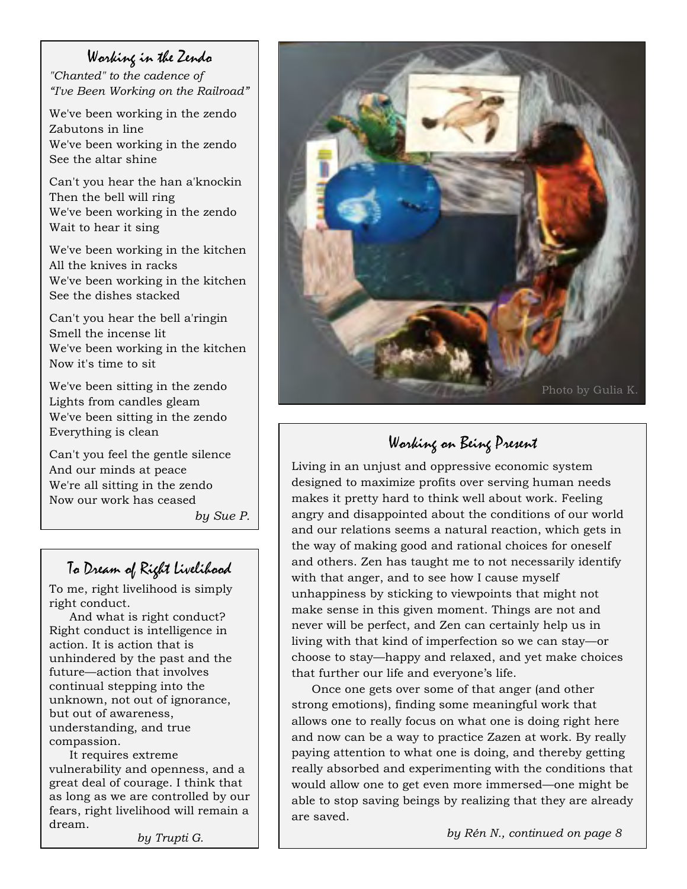### Working in the Zendo

*"Chanted" to the cadence of "I've Been Working on the Railroad"*

We've been working in the zendo Zabutons in line We've been working in the zendo See the altar shine

Can't you hear the han a'knockin Then the bell will ring We've been working in the zendo Wait to hear it sing

We've been working in the kitchen All the knives in racks We've been working in the kitchen See the dishes stacked

Can't you hear the bell a'ringin Smell the incense lit We've been working in the kitchen Now it's time to sit

We've been sitting in the zendo Lights from candles gleam We've been sitting in the zendo Everything is clean

Can't you feel the gentle silence And our minds at peace We're all sitting in the zendo Now our work has ceased

*by Sue P.*

# To Dream of Right Livelihood

To me, right livelihood is simply right conduct.

And what is right conduct? Right conduct is intelligence in action. It is action that is unhindered by the past and the future—action that involves continual stepping into the unknown, not out of ignorance, but out of awareness, understanding, and true compassion.

It requires extreme vulnerability and openness, and a great deal of courage. I think that as long as we are controlled by our fears, right livelihood will remain a dream.

*by Trupti G.*



# Working on Being Present

Living in an unjust and oppressive economic system designed to maximize profits over serving human needs makes it pretty hard to think well about work. Feeling angry and disappointed about the conditions of our world and our relations seems a natural reaction, which gets in the way of making good and rational choices for oneself and others. Zen has taught me to not necessarily identify with that anger, and to see how I cause myself unhappiness by sticking to viewpoints that might not make sense in this given moment. Things are not and never will be perfect, and Zen can certainly help us in living with that kind of imperfection so we can stay—or choose to stay—happy and relaxed, and yet make choices that further our life and everyone's life.

Once one gets over some of that anger (and other strong emotions), finding some meaningful work that allows one to really focus on what one is doing right here and now can be a way to practice Zazen at work. By really paying attention to what one is doing, and thereby getting really absorbed and experimenting with the conditions that would allow one to get even more immersed—one might be able to stop saving beings by realizing that they are already are saved.

*by Rén N., continued on page 8*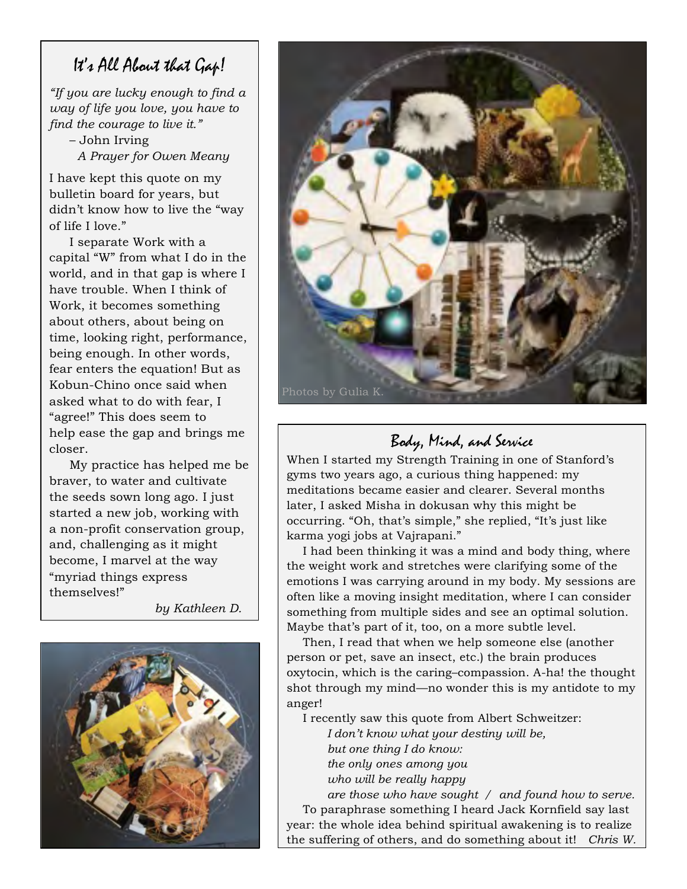## It's All About that Gap!

*"If you are lucky enough to find a way of life you love, you have to find the courage to live it."* 

– John Irving *A Prayer for Owen Meany*

I have kept this quote on my bulletin board for years, but didn't know how to live the "way of life I love."

I separate Work with a capital "W" from what I do in the world, and in that gap is where I have trouble. When I think of Work, it becomes something about others, about being on time, looking right, performance, being enough. In other words, fear enters the equation! But as Kobun-Chino once said when asked what to do with fear, I "agree!" This does seem to help ease the gap and brings me closer.

My practice has helped me be braver, to water and cultivate the seeds sown long ago. I just started a new job, working with a non-profit conservation group, and, challenging as it might become, I marvel at the way "myriad things express themselves!"

*by Kathleen D.*





# Body, Mind, and Service

When I started my Strength Training in one of Stanford's gyms two years ago, a curious thing happened: my meditations became easier and clearer. Several months later, I asked Misha in dokusan why this might be occurring. "Oh, that's simple," she replied, "It's just like karma yogi jobs at Vajrapani."

I had been thinking it was a mind and body thing, where the weight work and stretches were clarifying some of the emotions I was carrying around in my body. My sessions are often like a moving insight meditation, where I can consider something from multiple sides and see an optimal solution. Maybe that's part of it, too, on a more subtle level.

Then, I read that when we help someone else (another person or pet, save an insect, etc.) the brain produces oxytocin, which is the caring–compassion. A-ha! the thought shot through my mind—no wonder this is my antidote to my anger!

I recently saw this quote from Albert Schweitzer:

*I don't know what your destiny will be, but one thing I do know: the only ones among you who will be really happy* 

*are those who have sought / and found how to serve.* To paraphrase something I heard Jack Kornfield say last year: the whole idea behind spiritual awakening is to realize the suffering of others, and do something about it! *Chris W.*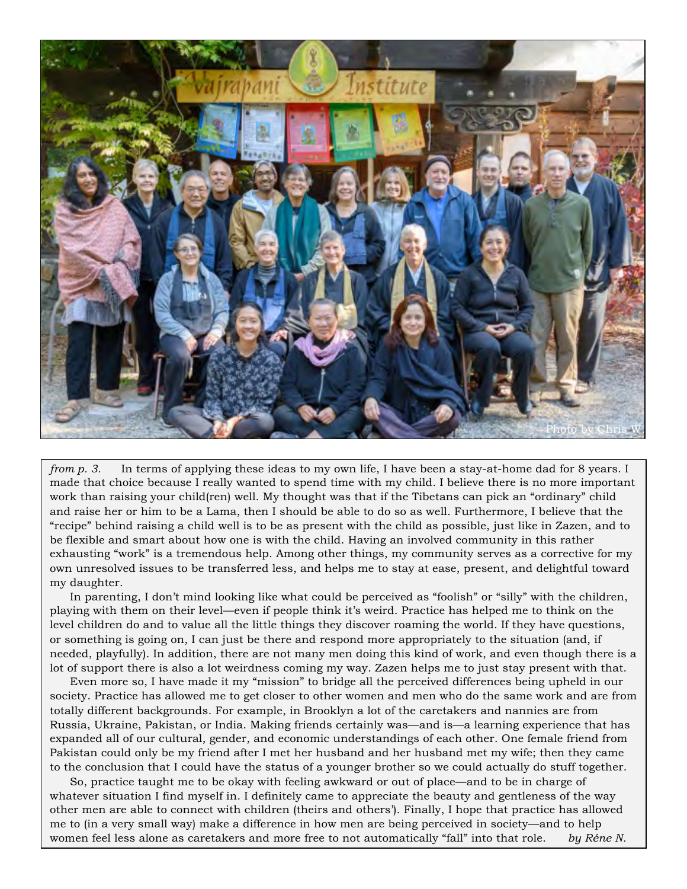

*from p. 3.* In terms of applying these ideas to my own life, I have been a stay-at-home dad for 8 years. I made that choice because I really wanted to spend time with my child. I believe there is no more important work than raising your child(ren) well. My thought was that if the Tibetans can pick an "ordinary" child and raise her or him to be a Lama, then I should be able to do so as well. Furthermore, I believe that the "recipe" behind raising a child well is to be as present with the child as possible, just like in Zazen, and to be flexible and smart about how one is with the child. Having an involved community in this rather exhausting "work" is a tremendous help. Among other things, my community serves as a corrective for my own unresolved issues to be transferred less, and helps me to stay at ease, present, and delightful toward my daughter.

In parenting, I don't mind looking like what could be perceived as "foolish" or "silly" with the children, playing with them on their level—even if people think it's weird. Practice has helped me to think on the level children do and to value all the little things they discover roaming the world. If they have questions, or something is going on, I can just be there and respond more appropriately to the situation (and, if needed, playfully). In addition, there are not many men doing this kind of work, and even though there is a lot of support there is also a lot weirdness coming my way. Zazen helps me to just stay present with that.

Even more so, I have made it my "mission" to bridge all the perceived differences being upheld in our society. Practice has allowed me to get closer to other women and men who do the same work and are from totally different backgrounds. For example, in Brooklyn a lot of the caretakers and nannies are from Russia, Ukraine, Pakistan, or India. Making friends certainly was—and is—a learning experience that has expanded all of our cultural, gender, and economic understandings of each other. One female friend from Pakistan could only be my friend after I met her husband and her husband met my wife; then they came to the conclusion that I could have the status of a younger brother so we could actually do stuff together.

So, practice taught me to be okay with feeling awkward or out of place—and to be in charge of whatever situation I find myself in. I definitely came to appreciate the beauty and gentleness of the way other men are able to connect with children (theirs and others'). Finally, I hope that practice has allowed me to (in a very small way) make a difference in how men are being perceived in society—and to help women feel less alone as caretakers and more free to not automatically "fall" into that role. *by Réne N.*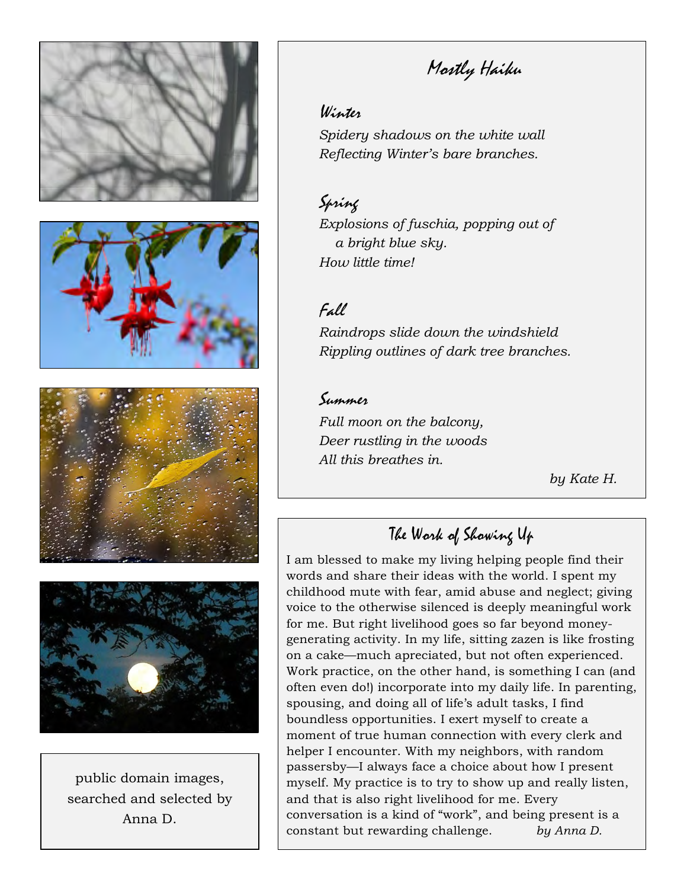

public domain images, searched and selected by Anna D.

# Mostly Haiku

## Winter

*Spidery shadows on the white wall Reflecting Winter's bare branches.*

Spring *Explosions of fuschia, popping out of a bright blue sky. How little time!*

## Fall

*Raindrops slide down the windshield Rippling outlines of dark tree branches.*

### Summer

*Full moon on the balcony, Deer rustling in the woods All this breathes in.*

 *by Kate H.*

# The Work of Showing Up

I am blessed to make my living helping people find their words and share their ideas with the world. I spent my childhood mute with fear, amid abuse and neglect; giving voice to the otherwise silenced is deeply meaningful work for me. But right livelihood goes so far beyond moneygenerating activity. In my life, sitting zazen is like frosting on a cake—much apreciated, but not often experienced. Work practice, on the other hand, is something I can (and often even do!) incorporate into my daily life. In parenting, spousing, and doing all of life's adult tasks, I find boundless opportunities. I exert myself to create a moment of true human connection with every clerk and helper I encounter. With my neighbors, with random passersby—I always face a choice about how I present myself. My practice is to try to show up and really listen, and that is also right livelihood for me. Every conversation is a kind of "work", and being present is a constant but rewarding challenge. *by Anna D.*